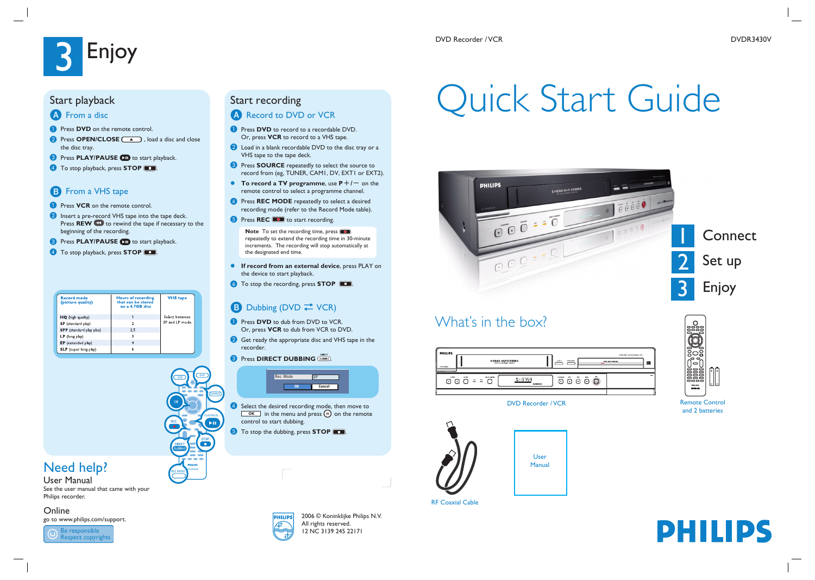# **Enjoy**

# Quick Start Guide

2006 © Koninklijke Philips N.V. All rights reserved. 12 NC 3139 245 22171



# Need help?

User Manual See the user manual that came with your Philips recorder.

Online

go to www.philips.com/support.



## Start recording

## A Record to DVD or VCR

- **A** Press **DVD** to record to a recordable DVD. Or, press **VCR** to record to a VHS tape.
- 2 Load in a blank recordable DVD to the disc tray or a VHS tape to the tape deck.
- **C** Press **SOURCE** repeatedly to select the source to record from (eg, TUNER, CAM1, DV, EXT1 or EXT2).
- **To record a TV programme, use**  $P+/-$  **on the** remote control to select a programme channel.
- **4** Press **REC MODE** repeatedly to select a desired recording mode (refer to the Record Mode table).
- **6** Press **REC 1** to start recording.

**Note** To set the recording time, press  $\circledcirc$ repeatedly to extend the recording time in 30-minute increments. The recording will stop automatically at the designated end time.

- **If record from an external device**, press PLAY on the device to start playback.
- **G** To stop the recording, press **STOP**  $\Box$ .

## **B** Dubbing (DVD  $\rightleftarrows$  VCR)

- **A** Press **DVD** to dub from DVD to VCR. Or, press **VCR** to dub from VCR to DVD.
- **2** Get ready the appropriate disc and VHS tape in the recorder.
- **8** Press **DIRECT DUBBING**  $\frac{\text{DHECT}}{\text{DUBBING}}}$



- **C** Select the desired recording mode, then move to  $\boxed{\circ}$  in the menu and press  $\circ$  on the remote control to start dubbing.
- **E** To stop the dubbing, press **STOP**  $\Box$ .



# What's in the box?

| <b>PHILIPS</b><br>O STANDONON |               |                   |               | 6 HEAD HI FI STEREO<br>ONE TOUCH RECORDING . LONG PLAY | EIGET A              | OPEN/CLOSE<br>= |
|-------------------------------|---------------|-------------------|---------------|--------------------------------------------------------|----------------------|-----------------|
| CHANNEL.                      | source<br>000 | $\equiv$ $\equiv$ | OPECT DUBBING | 0 3 7 5 9<br>100603-002                                | PLAY/PAUSE<br>l et l | stor            |

### DVD Recorder / VCR





and 2 batteries



RF Coaxial Cable





## Start playback

## A From a disc

- **A** Press **DVD** on the remote control.
- **B** Press **OPEN/CLOSE** 4 , load a disc and close the disc tray.
- **8** Press **PLAY/PAUSE CD** to start playback.
- 4 To stop playback, press **STOP** ...

## **B** From a VHS tape

- **A** Press **VCR** on the remote control.
- **2** Insert a pre-record VHS tape into the tape deck. Press **REW** to rewind the tape if necessary to the beginning of the recording.
- **8** Press **PLAY/PAUSE D** to start playback.
- **4** To stop playback, press **STOP** ...

| <b>Record mode</b><br>(picture quality) | <b>Hours of recording</b><br>that can be stored<br>on a 4.7GB disc | <b>VHS</b> tape |
|-----------------------------------------|--------------------------------------------------------------------|-----------------|
| HQ (high quality)                       |                                                                    | Select between  |
| <b>SP</b> (standard play)               |                                                                    | SP and LP mode. |
| <b>SPP</b> (standard play plus)         | 2.5                                                                |                 |
| $LP$ (long play)                        |                                                                    |                 |
| <b>EP</b> (extended play)               |                                                                    |                 |
| <b>SLP</b> (super long play)            |                                                                    |                 |

REC MODE